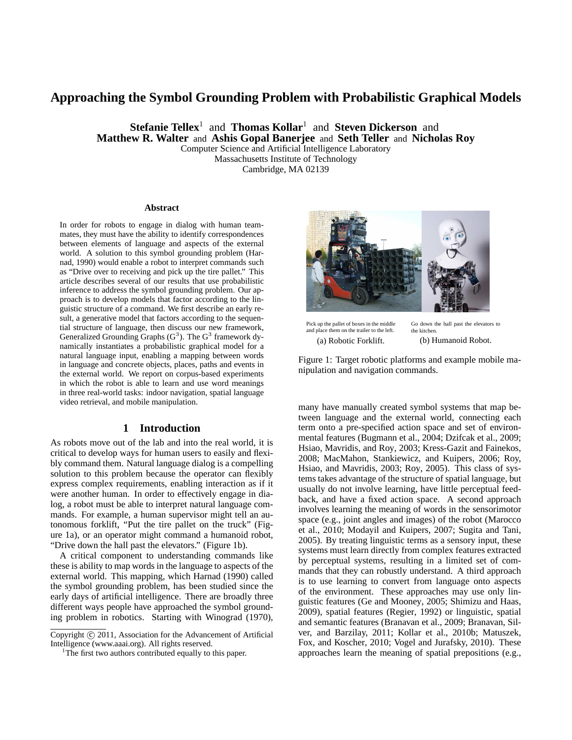# **Approaching the Symbol Grounding Problem with Probabilistic Graphical Models**

**Stefanie Tellex**<sup>1</sup> and **Thomas Kollar**<sup>1</sup> and **Steven Dickerson** and **Matthew R. Walter** and **Ashis Gopal Banerjee** and **Seth Teller** and **Nicholas Roy**

Computer Science and Artificial Intelligence Laboratory Massachusetts Institute of Technology

Cambridge, MA 02139

#### **Abstract**

In order for robots to engage in dialog with human teammates, they must have the ability to identify correspondences between elements of language and aspects of the external world. A solution to this symbol grounding problem (Harnad, 1990) would enable a robot to interpret commands such as "Drive over to receiving and pick up the tire pallet." This article describes several of our results that use probabilistic inference to address the symbol grounding problem. Our approach is to develop models that factor according to the linguistic structure of a command. We first describe an early result, a generative model that factors according to the sequential structure of language, then discuss our new framework, Generalized Grounding Graphs  $(G^3)$ . The  $G^3$  framework dynamically instantiates a probabilistic graphical model for a natural language input, enabling a mapping between words in language and concrete objects, places, paths and events in the external world. We report on corpus-based experiments in which the robot is able to learn and use word meanings in three real-world tasks: indoor navigation, spatial language video retrieval, and mobile manipulation.

#### **1 Introduction**

As robots move out of the lab and into the real world, it is critical to develop ways for human users to easily and flexibly command them. Natural language dialog is a compelling solution to this problem because the operator can flexibly express complex requirements, enabling interaction as if it were another human. In order to effectively engage in dialog, a robot must be able to interpret natural language commands. For example, a human supervisor might tell an autonomous forklift, "Put the tire pallet on the truck" (Figure 1a), or an operator might command a humanoid robot, "Drive down the hall past the elevators." (Figure 1b).

A critical component to understanding commands like these is ability to map words in the language to aspects of the external world. This mapping, which Harnad (1990) called the symbol grounding problem, has been studied since the early days of artificial intelligence. There are broadly three different ways people have approached the symbol grounding problem in robotics. Starting with Winograd (1970),



Pick up the pallet of boxes in the middle and place them on the trailer to the left. (a) Robotic Forklift.

Go down the hall past the elevators to the kitchen. (b) Humanoid Robot.

Figure 1: Target robotic platforms and example mobile manipulation and navigation commands.

many have manually created symbol systems that map between language and the external world, connecting each term onto a pre-specified action space and set of environmental features (Bugmann et al., 2004; Dzifcak et al., 2009; Hsiao, Mavridis, and Roy, 2003; Kress-Gazit and Fainekos, 2008; MacMahon, Stankiewicz, and Kuipers, 2006; Roy, Hsiao, and Mavridis, 2003; Roy, 2005). This class of systems takes advantage of the structure of spatial language, but usually do not involve learning, have little perceptual feedback, and have a fixed action space. A second approach involves learning the meaning of words in the sensorimotor space (e.g., joint angles and images) of the robot (Marocco et al., 2010; Modayil and Kuipers, 2007; Sugita and Tani, 2005). By treating linguistic terms as a sensory input, these systems must learn directly from complex features extracted by perceptual systems, resulting in a limited set of commands that they can robustly understand. A third approach is to use learning to convert from language onto aspects of the environment. These approaches may use only linguistic features (Ge and Mooney, 2005; Shimizu and Haas, 2009), spatial features (Regier, 1992) or linguistic, spatial and semantic features (Branavan et al., 2009; Branavan, Silver, and Barzilay, 2011; Kollar et al., 2010b; Matuszek, Fox, and Koscher, 2010; Vogel and Jurafsky, 2010). These approaches learn the meaning of spatial prepositions (e.g.,

Copyright (c) 2011, Association for the Advancement of Artificial Intelligence (www.aaai.org). All rights reserved.

<sup>&</sup>lt;sup>1</sup>The first two authors contributed equally to this paper.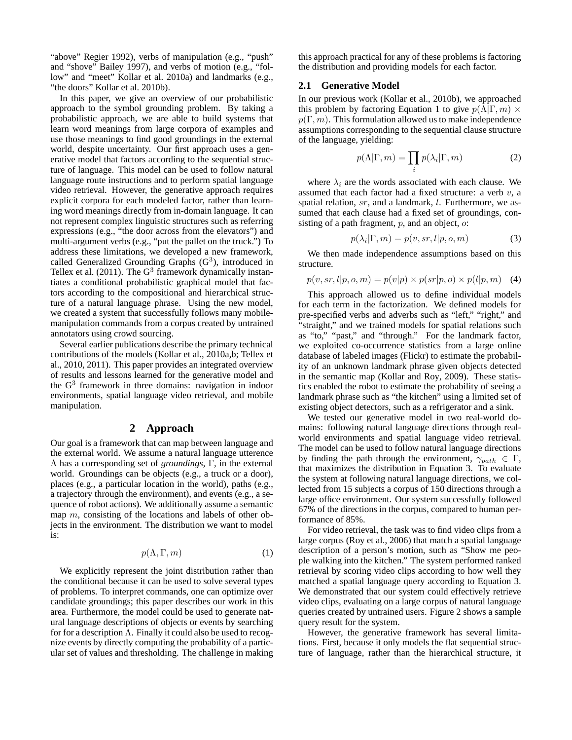"above" Regier 1992), verbs of manipulation (e.g., "push" and "shove" Bailey 1997), and verbs of motion (e.g., "follow" and "meet" Kollar et al. 2010a) and landmarks (e.g., "the doors" Kollar et al. 2010b).

In this paper, we give an overview of our probabilistic approach to the symbol grounding problem. By taking a probabilistic approach, we are able to build systems that learn word meanings from large corpora of examples and use those meanings to find good groundings in the external world, despite uncertainty. Our first approach uses a generative model that factors according to the sequential structure of language. This model can be used to follow natural language route instructions and to perform spatial language video retrieval. However, the generative approach requires explicit corpora for each modeled factor, rather than learning word meanings directly from in-domain language. It can not represent complex linguistic structures such as referring expressions (e.g., "the door across from the elevators") and multi-argument verbs (e.g., "put the pallet on the truck.") To address these limitations, we developed a new framework, called Generalized Grounding Graphs  $(G<sup>3</sup>)$ , introduced in Tellex et al. (2011). The  $G^3$  framework dynamically instantiates a conditional probabilistic graphical model that factors according to the compositional and hierarchical structure of a natural language phrase. Using the new model, we created a system that successfully follows many mobilemanipulation commands from a corpus created by untrained annotators using crowd sourcing.

Several earlier publications describe the primary technical contributions of the models (Kollar et al., 2010a,b; Tellex et al., 2010, 2011). This paper provides an integrated overview of results and lessons learned for the generative model and the G<sup>3</sup> framework in three domains: navigation in indoor environments, spatial language video retrieval, and mobile manipulation.

#### **2 Approach**

Our goal is a framework that can map between language and the external world. We assume a natural language utterence Λ has a corresponding set of *groundings*, Γ, in the external world. Groundings can be objects (e.g., a truck or a door), places (e.g., a particular location in the world), paths (e.g., a trajectory through the environment), and events (e.g., a sequence of robot actions). We additionally assume a semantic map  $m$ , consisting of the locations and labels of other objects in the environment. The distribution we want to model is:

$$
p(\Lambda, \Gamma, m) \tag{1}
$$

We explicitly represent the joint distribution rather than the conditional because it can be used to solve several types of problems. To interpret commands, one can optimize over candidate groundings; this paper describes our work in this area. Furthermore, the model could be used to generate natural language descriptions of objects or events by searching for for a description  $\Lambda$ . Finally it could also be used to recognize events by directly computing the probability of a particular set of values and thresholding. The challenge in making

this approach practical for any of these problems is factoring the distribution and providing models for each factor.

#### **2.1 Generative Model**

In our previous work (Kollar et al., 2010b), we approached this problem by factoring Equation 1 to give  $p(\Lambda|\Gamma, m) \times$  $p(\Gamma, m)$ . This formulation allowed us to make independence assumptions corresponding to the sequential clause structure of the language, yielding:

$$
p(\Lambda | \Gamma, m) = \prod_{i} p(\lambda_i | \Gamma, m)
$$
 (2)

where  $\lambda_i$  are the words associated with each clause. We assumed that each factor had a fixed structure: a verb  $v$ , a spatial relation,  $sr$ , and a landmark,  $l$ . Furthermore, we assumed that each clause had a fixed set of groundings, consisting of a path fragment,  $p$ , and an object,  $\alpha$ :

$$
p(\lambda_i|\Gamma, m) = p(v, sr, l|p, o, m)
$$
\n(3)

We then made independence assumptions based on this structure.

$$
p(v, sr, l|p, o, m) = p(v|p) \times p(sr|p, o) \times p(l|p, m) \quad (4)
$$

This approach allowed us to define individual models for each term in the factorization. We defined models for pre-specified verbs and adverbs such as "left," "right," and "straight," and we trained models for spatial relations such as "to," "past," and "through." For the landmark factor, we exploited co-occurrence statistics from a large online database of labeled images (Flickr) to estimate the probability of an unknown landmark phrase given objects detected in the semantic map (Kollar and Roy, 2009). These statistics enabled the robot to estimate the probability of seeing a landmark phrase such as "the kitchen" using a limited set of existing object detectors, such as a refrigerator and a sink.

We tested our generative model in two real-world domains: following natural language directions through realworld environments and spatial language video retrieval. The model can be used to follow natural language directions by finding the path through the environment,  $\gamma_{path} \in \Gamma$ , that maximizes the distribution in Equation 3. To evaluate the system at following natural language directions, we collected from 15 subjects a corpus of 150 directions through a large office environment. Our system successfully followed 67% of the directions in the corpus, compared to human performance of 85%.

For video retrieval, the task was to find video clips from a large corpus (Roy et al., 2006) that match a spatial language description of a person's motion, such as "Show me people walking into the kitchen." The system performed ranked retrieval by scoring video clips according to how well they matched a spatial language query according to Equation 3. We demonstrated that our system could effectively retrieve video clips, evaluating on a large corpus of natural language queries created by untrained users. Figure 2 shows a sample query result for the system.

However, the generative framework has several limitations. First, because it only models the flat sequential structure of language, rather than the hierarchical structure, it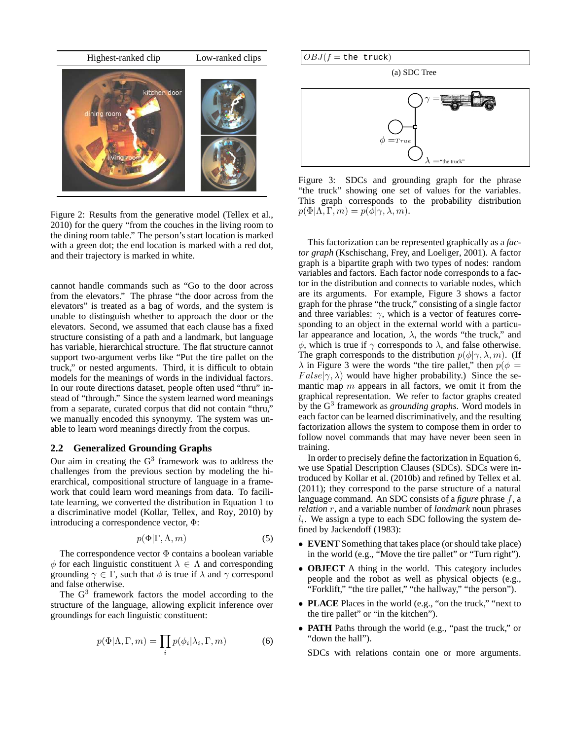

Figure 2: Results from the generative model (Tellex et al., 2010) for the query "from the couches in the living room to the dining room table." The person's start location is marked with a green dot; the end location is marked with a red dot, and their trajectory is marked in white.

cannot handle commands such as "Go to the door across from the elevators." The phrase "the door across from the elevators" is treated as a bag of words, and the system is unable to distinguish whether to approach the door or the elevators. Second, we assumed that each clause has a fixed structure consisting of a path and a landmark, but language has variable, hierarchical structure. The flat structure cannot support two-argument verbs like "Put the tire pallet on the truck," or nested arguments. Third, it is difficult to obtain models for the meanings of words in the individual factors. In our route directions dataset, people often used "thru" instead of "through." Since the system learned word meanings from a separate, curated corpus that did not contain "thru," we manually encoded this synonymy. The system was unable to learn word meanings directly from the corpus.

## **2.2 Generalized Grounding Graphs**

Our aim in creating the  $G<sup>3</sup>$  framework was to address the challenges from the previous section by modeling the hierarchical, compositional structure of language in a framework that could learn word meanings from data. To facilitate learning, we converted the distribution in Equation 1 to a discriminative model (Kollar, Tellex, and Roy, 2010) by introducing a correspondence vector, Φ:

$$
p(\Phi|\Gamma,\Lambda,m) \tag{5}
$$

The correspondence vector  $\Phi$  contains a boolean variable  $\phi$  for each linguistic constituent  $\lambda \in \Lambda$  and corresponding grounding  $\gamma \in \Gamma$ , such that  $\phi$  is true if  $\lambda$  and  $\gamma$  correspond and false otherwise.

The  $G<sup>3</sup>$  framework factors the model according to the structure of the language, allowing explicit inference over groundings for each linguistic constituent:

$$
p(\Phi|\Lambda, \Gamma, m) = \prod_{i} p(\phi_i|\lambda_i, \Gamma, m)
$$
 (6)

(a) SDC Tree



Figure 3: SDCs and grounding graph for the phrase "the truck" showing one set of values for the variables. This graph corresponds to the probability distribution  $p(\Phi|\Lambda, \Gamma, m) = p(\phi|\gamma, \lambda, m).$ 

This factorization can be represented graphically as a *factor graph* (Kschischang, Frey, and Loeliger, 2001). A factor graph is a bipartite graph with two types of nodes: random variables and factors. Each factor node corresponds to a factor in the distribution and connects to variable nodes, which are its arguments. For example, Figure 3 shows a factor graph for the phrase "the truck," consisting of a single factor and three variables:  $\gamma$ , which is a vector of features corresponding to an object in the external world with a particular appearance and location,  $\lambda$ , the words "the truck," and  $\phi$ , which is true if  $\gamma$  corresponds to  $\lambda$ , and false otherwise. The graph corresponds to the distribution  $p(\phi|\gamma, \lambda, m)$ . (If  $\lambda$  in Figure 3 were the words "the tire pallet," then  $p(\phi =$  $False|\gamma, \lambda)$  would have higher probability.) Since the semantic map  $m$  appears in all factors, we omit it from the graphical representation. We refer to factor graphs created by the G<sup>3</sup> framework as *grounding graphs*. Word models in each factor can be learned discriminatively, and the resulting factorization allows the system to compose them in order to follow novel commands that may have never been seen in training.

In order to precisely define the factorization in Equation 6, we use Spatial Description Clauses (SDCs). SDCs were introduced by Kollar et al. (2010b) and refined by Tellex et al. (2011); they correspond to the parse structure of a natural language command. An SDC consists of a *figure* phrase f, a *relation* r, and a variable number of *landmark* noun phrases  $l_i$ . We assign a type to each SDC following the system defined by Jackendoff (1983):

- **EVENT** Something that takes place (or should take place) in the world (e.g., "Move the tire pallet" or "Turn right").
- **OBJECT** A thing in the world. This category includes people and the robot as well as physical objects (e.g., "Forklift," "the tire pallet," "the hallway," "the person").
- **PLACE** Places in the world (e.g., "on the truck," "next to the tire pallet" or "in the kitchen").
- **PATH** Paths through the world (e.g., "past the truck," or "down the hall").

SDCs with relations contain one or more arguments.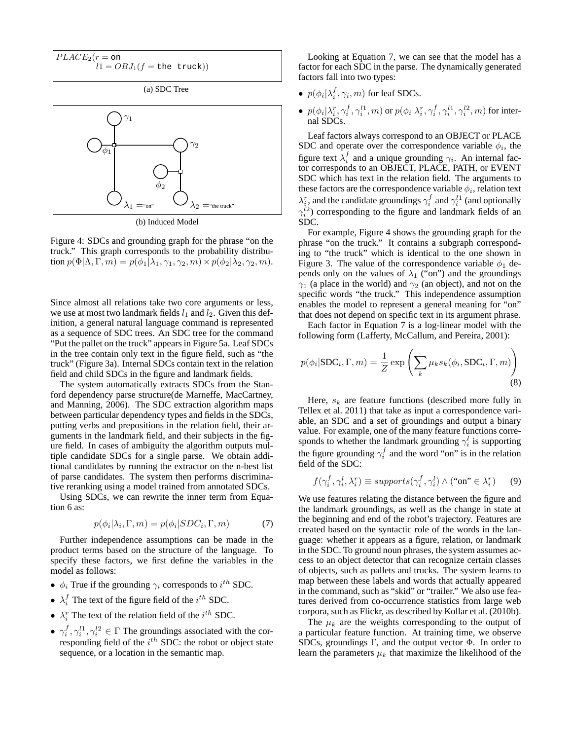$$
PLACE_2(r = \text{on}
$$
  

$$
l1 = OBJ_1(f = \text{the truck}))
$$

(a) SDC Tree



(b) Induced Model

Figure 4: SDCs and grounding graph for the phrase "on the truck." This graph corresponds to the probability distribution  $p(\Phi|\Lambda, \Gamma, m) = p(\phi_1|\lambda_1, \gamma_1, \gamma_2, m) \times p(\phi_2|\lambda_2, \gamma_2, m).$ 

Since almost all relations take two core arguments or less, we use at most two landmark fields  $l_1$  and  $l_2$ . Given this definition, a general natural language command is represented as a sequence of SDC trees. An SDC tree for the command "Put the pallet on the truck" appears in Figure 5a. Leaf SDCs in the tree contain only text in the figure field, such as "the truck" (Figure 3a). Internal SDCs contain text in the relation field and child SDCs in the figure and landmark fields.

The system automatically extracts SDCs from the Stanford dependency parse structure(de Marneffe, MacCartney, and Manning, 2006). The SDC extraction algorithm maps between particular dependency types and fields in the SDCs, putting verbs and prepositions in the relation field, their arguments in the landmark field, and their subjects in the figure field. In cases of ambiguity the algorithm outputs multiple candidate SDCs for a single parse. We obtain additional candidates by running the extractor on the n-best list of parse candidates. The system then performs discriminative reranking using a model trained from annotated SDCs.

Using SDCs, we can rewrite the inner term from Equation 6 as:

$$
p(\phi_i|\lambda_i, \Gamma, m) = p(\phi_i|SDC_i, \Gamma, m)
$$
\n(7)

Further independence assumptions can be made in the product terms based on the structure of the language. To specify these factors, we first define the variables in the model as follows:

- $\phi_i$  True if the grounding  $\gamma_i$  corresponds to  $i^{th}$  SDC.
- $\lambda_i^f$  The text of the figure field of the  $i^{th}$  SDC.
- $\lambda_i^r$  The text of the relation field of the  $i^{th}$  SDC.
- $\gamma_i^f, \gamma_i^{l1}, \gamma_i^{l2} \in \Gamma$  The groundings associated with the corresponding field of the  $i^{th}$  SDC: the robot or object state sequence, or a location in the semantic map.

Looking at Equation 7, we can see that the model has a factor for each SDC in the parse. The dynamically generated factors fall into two types:

- $p(\phi_i | \lambda_i^f, \gamma_i, m)$  for leaf SDCs.
- $p(\phi_i | \lambda_i^r, \gamma_i^f, \gamma_i^{l1}, m)$  or  $p(\phi_i | \lambda_i^r, \gamma_i^f, \gamma_i^{l1}, \gamma_i^{l2}, m)$  for internal SDCs.

Leaf factors always correspond to an OBJECT or PLACE SDC and operate over the correspondence variable  $\phi_i$ , the figure text  $\lambda_i^f$  and a unique grounding  $\gamma_i$ . An internal factor corresponds to an OBJECT, PLACE, PATH, or EVENT SDC which has text in the relation field. The arguments to these factors are the correspondence variable  $\phi_i$ , relation text  $\lambda_i^r$ , and the candidate groundings  $\gamma_i^f$  and  $\gamma_i^{l1}$  (and optionally  $\gamma_i^{l_2}$ ) corresponding to the figure and landmark fields of an SDC.

For example, Figure 4 shows the grounding graph for the phrase "on the truck." It contains a subgraph corresponding to "the truck" which is identical to the one shown in Figure 3. The value of the correspondence variable  $\phi_1$  depends only on the values of  $\lambda_1$  ("on") and the groundings  $\gamma_1$  (a place in the world) and  $\gamma_2$  (an object), and not on the specific words "the truck." This independence assumption enables the model to represent a general meaning for "on" that does not depend on specific text in its argument phrase.

Each factor in Equation 7 is a log-linear model with the following form (Lafferty, McCallum, and Pereira, 2001):

$$
p(\phi_i | \text{SDC}_i, \Gamma, m) = \frac{1}{Z} \exp\left(\sum_k \mu_k s_k(\phi_i, \text{SDC}_i, \Gamma, m)\right)
$$
(8)

Here,  $s_k$  are feature functions (described more fully in Tellex et al. 2011) that take as input a correspondence variable, an SDC and a set of groundings and output a binary value. For example, one of the many feature functions corresponds to whether the landmark grounding  $\gamma_i^l$  is supporting the figure grounding  $\gamma_i^f$  and the word "on" is in the relation field of the SDC:

$$
f(\gamma_i^f, \gamma_i^l, \lambda_i^r) \equiv supports(\gamma_i^f, \gamma_i^l) \land (\text{``on''} \in \lambda_i^r) \qquad (9)
$$

We use features relating the distance between the figure and the landmark groundings, as well as the change in state at the beginning and end of the robot's trajectory. Features are created based on the syntactic role of the words in the language: whether it appears as a figure, relation, or landmark in the SDC. To ground noun phrases, the system assumes access to an object detector that can recognize certain classes of objects, such as pallets and trucks. The system learns to map between these labels and words that actually appeared in the command, such as "skid" or "trailer." We also use features derived from co-occurrence statistics from large web corpora, such as Flickr, as described by Kollar et al. (2010b).

The  $\mu_k$  are the weights corresponding to the output of a particular feature function. At training time, we observe SDCs, groundings  $\Gamma$ , and the output vector  $\Phi$ . In order to learn the parameters  $\mu_k$  that maximize the likelihood of the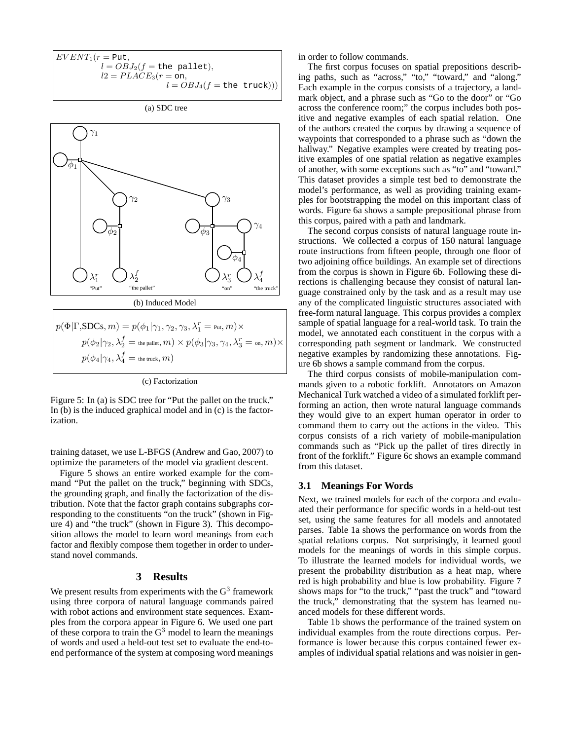$EVENT_1(r = Put,$  $l = OBJ_2(f = \text{the }\text{pallet}),$  $l2 = PLACE<sub>3</sub>(r = \text{on},$  $l = OBJ_4(f = \text{the truck}))$ 

(a) SDC tree



| $ p(\Phi \Gamma,\!\mathrm{SDCs},m)=p(\phi_1 \gamma_1,\gamma_2,\gamma_3,\lambda_1^r=\text{\tiny Put},m)\times$                    |  |
|----------------------------------------------------------------------------------------------------------------------------------|--|
| $p(\phi_2 \gamma_2,\lambda_2^f=\text{\tiny the pellet},m)\times p(\phi_3 \gamma_3,\gamma_4,\lambda_3^r=\text{\tiny on},m)\times$ |  |
| $p(\phi_4 \gamma_4,\lambda_4^f=$ the truck , $m)$                                                                                |  |

(c) Factorization

Figure 5: In (a) is SDC tree for "Put the pallet on the truck." In (b) is the induced graphical model and in (c) is the factorization.

training dataset, we use L-BFGS (Andrew and Gao, 2007) to optimize the parameters of the model via gradient descent.

Figure 5 shows an entire worked example for the command "Put the pallet on the truck," beginning with SDCs, the grounding graph, and finally the factorization of the distribution. Note that the factor graph contains subgraphs corresponding to the constituents "on the truck" (shown in Figure 4) and "the truck" (shown in Figure 3). This decomposition allows the model to learn word meanings from each factor and flexibly compose them together in order to understand novel commands.

#### **3 Results**

We present results from experiments with the  $G<sup>3</sup>$  framework using three corpora of natural language commands paired with robot actions and environment state sequences. Examples from the corpora appear in Figure 6. We used one part of these corpora to train the  $G<sup>3</sup>$  model to learn the meanings of words and used a held-out test set to evaluate the end-toend performance of the system at composing word meanings

in order to follow commands.

The first corpus focuses on spatial prepositions describing paths, such as "across," "to," "toward," and "along." Each example in the corpus consists of a trajectory, a landmark object, and a phrase such as "Go to the door" or "Go across the conference room;" the corpus includes both positive and negative examples of each spatial relation. One of the authors created the corpus by drawing a sequence of waypoints that corresponded to a phrase such as "down the hallway." Negative examples were created by treating positive examples of one spatial relation as negative examples of another, with some exceptions such as "to" and "toward." This dataset provides a simple test bed to demonstrate the model's performance, as well as providing training examples for bootstrapping the model on this important class of words. Figure 6a shows a sample prepositional phrase from this corpus, paired with a path and landmark.

The second corpus consists of natural language route instructions. We collected a corpus of 150 natural language route instructions from fifteen people, through one floor of two adjoining office buildings. An example set of directions from the corpus is shown in Figure 6b. Following these directions is challenging because they consist of natural language constrained only by the task and as a result may use any of the complicated linguistic structures associated with free-form natural language. This corpus provides a complex sample of spatial language for a real-world task. To train the model, we annotated each constituent in the corpus with a corresponding path segment or landmark. We constructed negative examples by randomizing these annotations. Figure 6b shows a sample command from the corpus.

The third corpus consists of mobile-manipulation commands given to a robotic forklift. Annotators on Amazon Mechanical Turk watched a video of a simulated forklift performing an action, then wrote natural language commands they would give to an expert human operator in order to command them to carry out the actions in the video. This corpus consists of a rich variety of mobile-manipulation commands such as "Pick up the pallet of tires directly in front of the forklift." Figure 6c shows an example command from this dataset.

## **3.1 Meanings For Words**

Next, we trained models for each of the corpora and evaluated their performance for specific words in a held-out test set, using the same features for all models and annotated parses. Table 1a shows the performance on words from the spatial relations corpus. Not surprisingly, it learned good models for the meanings of words in this simple corpus. To illustrate the learned models for individual words, we present the probability distribution as a heat map, where red is high probability and blue is low probability. Figure 7 shows maps for "to the truck," "past the truck" and "toward the truck," demonstrating that the system has learned nuanced models for these different words.

Table 1b shows the performance of the trained system on individual examples from the route directions corpus. Performance is lower because this corpus contained fewer examples of individual spatial relations and was noisier in gen-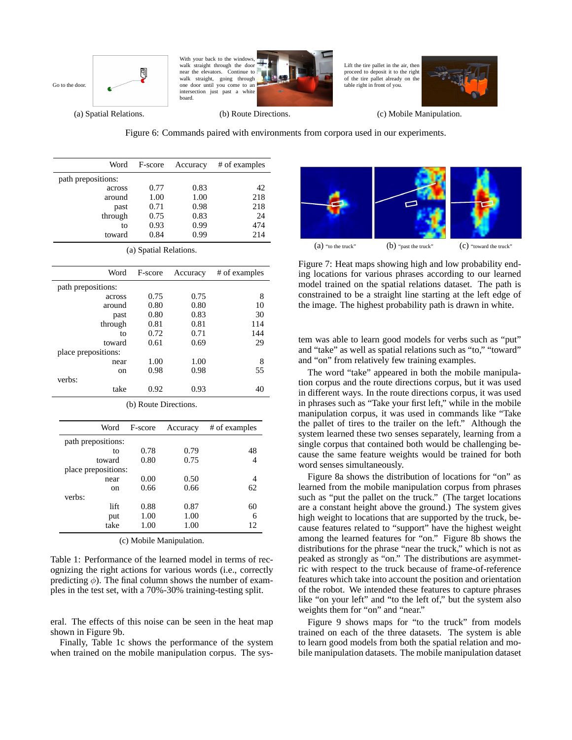



Lift the tire pallet in the air, then proceed to deposit it to the right of the tire pallet already on the table right in front of you.



(a) Spatial Relations.

verbs:

(b) Route Directions.

(c) Mobile Manipulation.

Figure 6: Commands paired with environments from corpora used in our experiments.

| Word               | F-score                | Accuracy | # of examples |
|--------------------|------------------------|----------|---------------|
| path prepositions: |                        |          |               |
| across             | 0.77                   | 0.83     | 42            |
| around             | 1.00                   | 1.00     | 218           |
| past               | 0.71                   | 0.98     | 218           |
| through            | 0.75                   | 0.83     | 24            |
| to                 | 0.93                   | 0.99     | 474           |
| toward             | 0.84                   | 0.99     | 214           |
|                    | (a) Spatial Relations. |          |               |
|                    |                        |          |               |
| Word               | F-score                | Accuracy | # of examples |
| path prepositions: |                        |          |               |
| across             | 0.75                   | 0.75     | 8             |
| around             | 0.80                   | 0.80     | 10            |
| past               | 0.80                   | 0.83     | 30            |
| through            | 0.81                   | 0.81     | 114           |
| to                 | 0.72                   | 0.71     | 144           |
| toward             | 0.61                   | 0.69     | 29            |

|  |  | (b) Route Directions. |
|--|--|-----------------------|
|--|--|-----------------------|

near 1.00 1.00 8 on 0.98 0.98 55

take 0.92 0.93 40

| Word                | F-score | Accuracy | # of examples |
|---------------------|---------|----------|---------------|
| path prepositions:  |         |          |               |
| to                  | 0.78    | 0.79     | 48            |
| toward              | 0.80    | 0.75     |               |
| place prepositions: |         |          |               |
| near                | 0.00    | 0.50     | 4             |
| on                  | 0.66    | 0.66     | 62            |
| verbs:              |         |          |               |
| lift                | 0.88    | 0.87     | 60            |
| put                 | 1.00    | 1.00     | 6             |
| take                | 1.00    | 1.00     | 12            |

(c) Mobile Manipulation.

Table 1: Performance of the learned model in terms of recognizing the right actions for various words (i.e., correctly predicting  $\phi$ ). The final column shows the number of examples in the test set, with a 70%-30% training-testing split.

eral. The effects of this noise can be seen in the heat map shown in Figure 9b.

Finally, Table 1c shows the performance of the system when trained on the mobile manipulation corpus. The sys-



Figure 7: Heat maps showing high and low probability ending locations for various phrases according to our learned model trained on the spatial relations dataset. The path is constrained to be a straight line starting at the left edge of the image. The highest probability path is drawn in white.

tem was able to learn good models for verbs such as "put" and "take" as well as spatial relations such as "to," "toward" and "on" from relatively few training examples.

The word "take" appeared in both the mobile manipulation corpus and the route directions corpus, but it was used in different ways. In the route directions corpus, it was used in phrases such as "Take your first left," while in the mobile manipulation corpus, it was used in commands like "Take the pallet of tires to the trailer on the left." Although the system learned these two senses separately, learning from a single corpus that contained both would be challenging because the same feature weights would be trained for both word senses simultaneously.

Figure 8a shows the distribution of locations for "on" as learned from the mobile manipulation corpus from phrases such as "put the pallet on the truck." (The target locations are a constant height above the ground.) The system gives high weight to locations that are supported by the truck, because features related to "support" have the highest weight among the learned features for "on." Figure 8b shows the distributions for the phrase "near the truck," which is not as peaked as strongly as "on." The distributions are asymmetric with respect to the truck because of frame-of-reference features which take into account the position and orientation of the robot. We intended these features to capture phrases like "on your left" and "to the left of," but the system also weights them for "on" and "near."

Figure 9 shows maps for "to the truck" from models trained on each of the three datasets. The system is able to learn good models from both the spatial relation and mobile manipulation datasets. The mobile manipulation dataset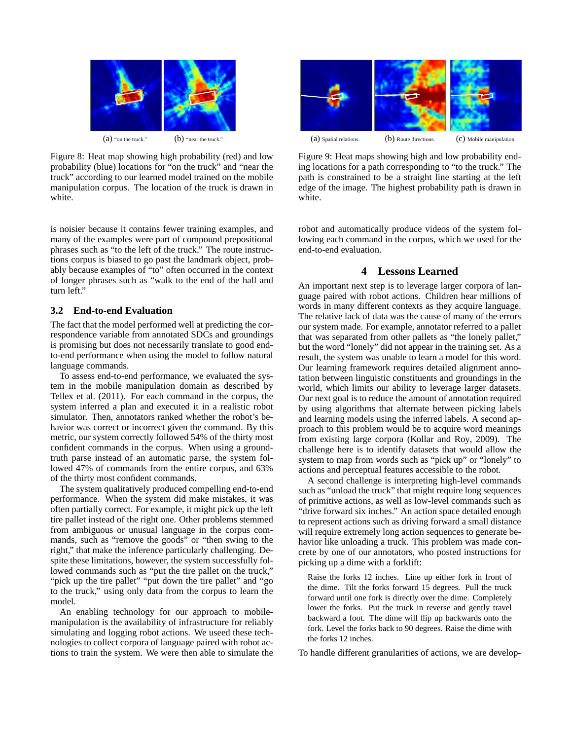

Figure 8: Heat map showing high probability (red) and low probability (blue) locations for "on the truck" and "near the truck" according to our learned model trained on the mobile manipulation corpus. The location of the truck is drawn in white.

is noisier because it contains fewer training examples, and many of the examples were part of compound prepositional phrases such as "to the left of the truck." The route instructions corpus is biased to go past the landmark object, probably because examples of "to" often occurred in the context of longer phrases such as "walk to the end of the hall and turn left."

## **3.2 End-to-end Evaluation**

The fact that the model performed well at predicting the correspondence variable from annotated SDCs and groundings is promising but does not necessarily translate to good endto-end performance when using the model to follow natural language commands.

To assess end-to-end performance, we evaluated the system in the mobile manipulation domain as described by Tellex et al. (2011). For each command in the corpus, the system inferred a plan and executed it in a realistic robot simulator. Then, annotators ranked whether the robot's behavior was correct or incorrect given the command. By this metric, our system correctly followed 54% of the thirty most confident commands in the corpus. When using a groundtruth parse instead of an automatic parse, the system followed 47% of commands from the entire corpus, and 63% of the thirty most confident commands.

The system qualitatively produced compelling end-to-end performance. When the system did make mistakes, it was often partially correct. For example, it might pick up the left tire pallet instead of the right one. Other problems stemmed from ambiguous or unusual language in the corpus commands, such as "remove the goods" or "then swing to the right," that make the inference particularly challenging. Despite these limitations, however, the system successfully followed commands such as "put the tire pallet on the truck," "pick up the tire pallet" "put down the tire pallet" and "go to the truck," using only data from the corpus to learn the model.

An enabling technology for our approach to mobilemanipulation is the availability of infrastructure for reliably simulating and logging robot actions. We useed these technologies to collect corpora of language paired with robot actions to train the system. We were then able to simulate the



Figure 9: Heat maps showing high and low probability ending locations for a path corresponding to "to the truck." The path is constrained to be a straight line starting at the left edge of the image. The highest probability path is drawn in white.

robot and automatically produce videos of the system following each command in the corpus, which we used for the end-to-end evaluation.

## **4 Lessons Learned**

An important next step is to leverage larger corpora of language paired with robot actions. Children hear millions of words in many different contexts as they acquire language. The relative lack of data was the cause of many of the errors our system made. For example, annotator referred to a pallet that was separated from other pallets as "the lonely pallet," but the word "lonely" did not appear in the training set. As a result, the system was unable to learn a model for this word. Our learning framework requires detailed alignment annotation between linguistic constituents and groundings in the world, which limits our ability to leverage larger datasets. Our next goal is to reduce the amount of annotation required by using algorithms that alternate between picking labels and learning models using the inferred labels. A second approach to this problem would be to acquire word meanings from existing large corpora (Kollar and Roy, 2009). The challenge here is to identify datasets that would allow the system to map from words such as "pick up" or "lonely" to actions and perceptual features accessible to the robot.

A second challenge is interpreting high-level commands such as "unload the truck" that might require long sequences of primitive actions, as well as low-level commands such as "drive forward six inches." An action space detailed enough to represent actions such as driving forward a small distance will require extremely long action sequences to generate behavior like unloading a truck. This problem was made concrete by one of our annotators, who posted instructions for picking up a dime with a forklift:

Raise the forks 12 inches. Line up either fork in front of the dime. Tilt the forks forward 15 degrees. Pull the truck forward until one fork is directly over the dime. Completely lower the forks. Put the truck in reverse and gently travel backward a foot. The dime will flip up backwards onto the fork. Level the forks back to 90 degrees. Raise the dime with the forks 12 inches.

To handle different granularities of actions, we are develop-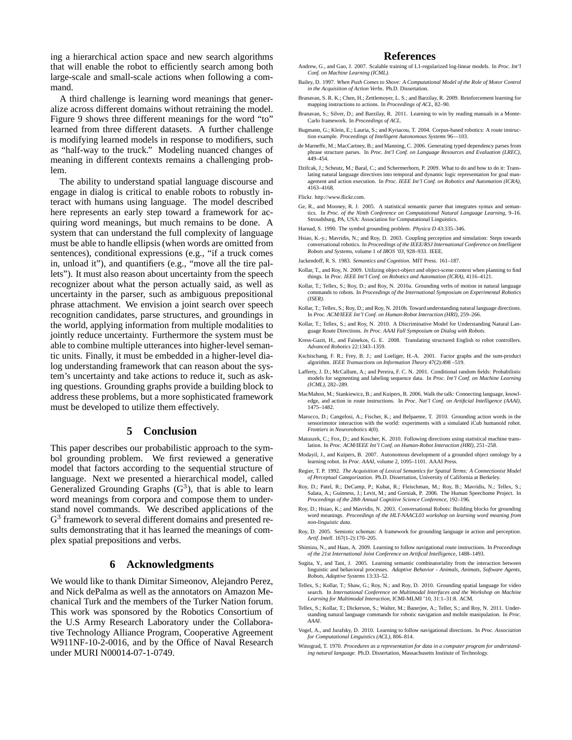ing a hierarchical action space and new search algorithms that will enable the robot to efficiently search among both large-scale and small-scale actions when following a command.

A third challenge is learning word meanings that generalize across different domains without retraining the model. Figure 9 shows three different meanings for the word "to" learned from three different datasets. A further challenge is modifying learned models in response to modifiers, such as "half-way to the truck." Modeling nuanced changes of meaning in different contexts remains a challenging problem.

The ability to understand spatial language discourse and engage in dialog is critical to enable robots to robustly interact with humans using language. The model described here represents an early step toward a framework for acquiring word meanings, but much remains to be done. A system that can understand the full complexity of language must be able to handle ellipsis (when words are omitted from sentences), conditional expressions (e.g., "if a truck comes in, unload it"), and quantifiers (e.g., "move all the tire pallets"). It must also reason about uncertainty from the speech recognizer about what the person actually said, as well as uncertainty in the parser, such as ambiguous prepositional phrase attachment. We envision a joint search over speech recognition candidates, parse structures, and groundings in the world, applying information from multiple modalities to jointly reduce uncertainty. Furthermore the system must be able to combine multiple utterances into higher-level semantic units. Finally, it must be embedded in a higher-level dialog understanding framework that can reason about the system's uncertainty and take actions to reduce it, such as asking questions. Grounding graphs provide a building block to address these problems, but a more sophisticated framework must be developed to utilize them effectively.

## **5 Conclusion**

This paper describes our probabilistic approach to the symbol grounding problem. We first reviewed a generative model that factors according to the sequential structure of language. Next we presented a hierarchical model, called Generalized Grounding Graphs  $(G<sup>3</sup>)$ , that is able to learn word meanings from corpora and compose them to understand novel commands. We described applications of the G<sup>3</sup> framework to several different domains and presented results demonstrating that it has learned the meanings of complex spatial prepositions and verbs.

# **6 Acknowledgments**

We would like to thank Dimitar Simeonov, Alejandro Perez, and Nick dePalma as well as the annotators on Amazon Mechanical Turk and the members of the Turker Nation forum. This work was sponsored by the Robotics Consortium of the U.S Army Research Laboratory under the Collaborative Technology Alliance Program, Cooperative Agreement W911NF-10-2-0016, and by the Office of Naval Research under MURI N00014-07-1-0749.

#### **References**

- Andrew, G., and Gao, J. 2007. Scalable training of L1-regularized log-linear models. In *Proc. Int'l Conf. on Machine Learning (ICML)*.
- Bailey, D. 1997. *When Push Comes to Shove: A Computational Model of the Role of Motor Control in the Acquisition of Action Verbs*. Ph.D. Dissertation.
- Branavan, S. R. K.; Chen, H.; Zettlemoyer, L. S.; and Barzilay, R. 2009. Reinforcement learning for mapping instructions to actions. In *Proceedings of ACL*, 82–90.
- Branavan, S.; Silver, D.; and Barzilay, R. 2011. Learning to win by reading manuals in a Monte-Carlo framework. In *Proceedings of ACL*.
- Bugmann, G.; Klein, E.; Lauria, S.; and Kyriacou, T. 2004. Corpus-based robotics: A route instruc-tion example. *Proceedings of Intelligent Autonomous Systems* 96—103.
- de Marneffe, M.; MacCartney, B.; and Manning, C. 2006. Generating typed dependency parses from phrase structure parses. In *Proc. Int'l Conf. on Language Resources and Evaluation (LREC)*. phrase structure parses. In *Proc. Int'l Conf. on Language Resources and Evaluation* 449–454.
- Dzifcak, J.; Scheutz, M.; Baral, C.; and Schermerhorn, P. 2009. What to do and how to do it: Translating natural language directives into temporal and dynamic logic representation for goal management and action execution. In *Proc. IEEE Int'l Conf. on Robotics and Automation (ICRA)*, 4163–4168.

Flickr. http://www.flickr.com.

- Ge, R., and Mooney, R. J. 2005. A statistical semantic parser that integrates syntax and semantics. In *Proc. of the Ninth Conference on Computational Natural Language Learning*, 9–16. Stroudsburg, PA, USA: Association for Computational Linguistics.
- Harnad, S. 1990. The symbol grounding problem. *Physica D* 43:335–346.
- Hsiao, K.-y.; Mavridis, N.; and Roy, D. 2003. Coupling perception and simulation: Steps towards conversational robotics. In *Proceedings of the IEEE/RSJ International Conference on Intelligent Robots and Systems*, volume 1 of *IROS '03*, 928–933. IEEE.
- Jackendoff, R. S. 1983. *Semantics and Cognition*. MIT Press. 161–187.
- Kollar, T., and Roy, N. 2009. Utilizing object-object and object-scene context when planning to find things. In *Proc. IEEE Int'l Conf. on Robotics and Automation (ICRA)*, 4116–4121.
- Kollar, T.; Tellex, S.; Roy, D.; and Roy, N. 2010a. Grounding verbs of motion in natural language commands to robots. In *Proceedings of the International Symposium on Experimental Robotics (ISER)*.
- Kollar, T.; Tellex, S.; Roy, D.; and Roy, N. 2010b. Toward understanding natural language directions. In *Proc. ACM/IEEE Int'l Conf. on Human-Robot Interaction (HRI)*, 259–266.
- Kollar, T.; Tellex, S.; and Roy, N. 2010. A Discriminative Model for Understanding Natural Language Route Directions. *In Proc. AAAI Fall Symposium on Dialog with Robots*.
- Kress-Gazit, H., and Fainekos, G. E. 2008. Translating structured English to robot controllers. *Advanced Robotics* 22:1343–1359.
- Kschischang, F. R.; Frey, B. J.; and Loeliger, H.-A. 2001. Factor graphs and the sum-product algorithm. *IEEE Transactions on Information Theory* 47(2):498 –519.
- Lafferty, J. D.; McCallum, A.; and Pereira, F. C. N. 2001. Conditional random fields: Probabilistic models for segmenting and labeling sequence data. In *Proc. Int'l Conf. on Machine Learning (ICML)*, 282–289.
- MacMahon, M.; Stankiewicz, B.; and Kuipers, B. 2006. Walk the talk: Connecting language, knowledge, and action in route instructions. In *Proc. Nat'l Conf. on Artificial Intelligence (AAAI)*, 1475–1482.
- Marocco, D.; Cangelosi, A.; Fischer, K.; and Belpaeme, T. 2010. Grounding action words in the sensorimotor interaction with the world: experiments with a simulated iCub humanoid robot. *Frontiers in Neurorobotics* 4(0).
- Matuszek, C.; Fox, D.; and Koscher, K. 2010. Following directions using statistical machine translation. In *Proc. ACM/IEEE Int'l Conf. on Human-Robot Interaction (HRI)*, 251–258.
- Modayil, J., and Kuipers, B. 2007. Autonomous development of a grounded object ontology by a learning robot. In *Proc. AAAI*, volume 2, 1095–1101. AAAI Press.
- Regier, T. P. 1992. *The Acquisition of Lexical Semantics for Spatial Terms: A Connectionist Model of Perceptual Categorization*. Ph.D. Dissertation, University of California at Berkeley.
- Roy, D.; Patel, R.; DeCamp, P.; Kubat, R.; Fleischman, M.; Roy, B.; Mavridis, N.; Tellex, S.; Salata, A.; Guinness, J.; Levit, M.; and Gorniak, P. 2006. The Human Speechome Project. In *Proceedings of the 28th Annual Cognitive Science Conference*, 192–196.
- Roy, D.; Hsiao, K.; and Mavridis, N. 2003. Conversational Robots: Building blocks for grounding word meanings. *Proceedings of the HLT-NAACL03 workshop on learning word meaning from non-linguistic data*.
- Roy, D. 2005. Semiotic schemas: A framework for grounding language in action and perception. *Artif. Intell.* 167(1-2):170–205.
- Shimizu, N., and Haas, A. 2009. Learning to follow navigational route instructions. In *Proceedings of the 21st International Joint Conference on Artifical Intelligence*, 1488–1493.
- Sugita, Y., and Tani, J. 2005. Learning semantic combinatoriality from the interaction between linguistic and behavioral processes. *Adaptive Behavior - Animals, Animats, Software Agents, Robots, Adaptive Systems* 13:33–52.
- Tellex, S.; Kollar, T.; Shaw, G.; Roy, N.; and Roy, D. 2010. Grounding spatial language for video search. In *International Conference on Multimodal Interfaces and the Workshop on Machine Learning for Multimodal Interaction*, ICMI-MLMI '10, 31:1–31:8. ACM.
- Tellex, S.; Kollar, T.; Dickerson, S.; Walter, M.; Banerjee, A.; Teller, S.; and Roy, N. 2011. Understanding natural language commands for robotic navigation and mobile manipulation. In *Proc. AAAI*.
- Vogel, A., and Jurafsky, D. 2010. Learning to follow navigational directions. In *Proc. Association for Computational Linguistics (ACL)*, 806–814.
- Winograd, T. 1970. *Procedures as a representation for data in a computer program for understanding natural language.* Ph.D. Dissertation, Massachusetts Institute of Technology.